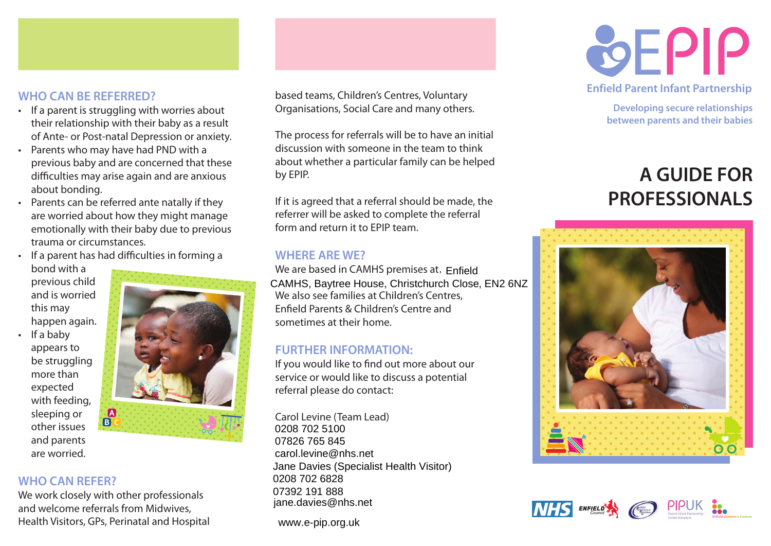

# **WHO CAN BE REFERRED?**

- • If a parent is struggling with worries about their relationship with their baby as a result of Ante- or Post-natal Depression or anxiety.
- • Parents who may have had PND with a previous baby and are concerned that these difficulties may arise again and are anxious about bonding.
- • Parents can be referred ante natally if they are worried about how they might manage emotionally with their baby due to previous trauma or circumstances.
- If a parent has had difficulties in forming a bond with a

previous child and is worried this may happen again.

If a baby appears to be struggling more than expected with feeding, sleeping or other issues and parents are worried.



## **WHO CAN REFER?**

We work closely with other professionals and welcome referrals from Midwives, Health Visitors, GPs, Perinatal and Hospital based teams, Children's Centres, Voluntary Organisations, Social Care and many others.

The process for referrals will be to have an initial discussion with someone in the team to think about whether a particular family can be helped by EPIP.

If it is agreed that a referral should be made, the referrer will be asked to complete the referral form and return it to EPIP team.

## **WHERE ARE WE?**

We are based in CAMHS premises at, Enfield CAMHS, Baytree House, Christchurch Close, EN2 6NZ We also see families at Children's Centres, Enfield Parents & Children's Centre and sometimes at their home.

## **FURTHER INFORMATION:**

If you would like to find out more about our service or would like to discuss a potential referral please do contact:

Carol Levine (Team Lead) 0208 702 5100 07826 765 845 Jane Davies (Specialist Health Visitor) 0208 702 6828<br>0208 101 002 jane.davies@nhs.net carol.levine@nhs.net 07392 191 888

www.e-pip.org.uk



**Enfield Parent Infant Partnership**

**Developing secure relationships between parents and their babies**

# **A GUIDE FOR PROFESSIONALS**